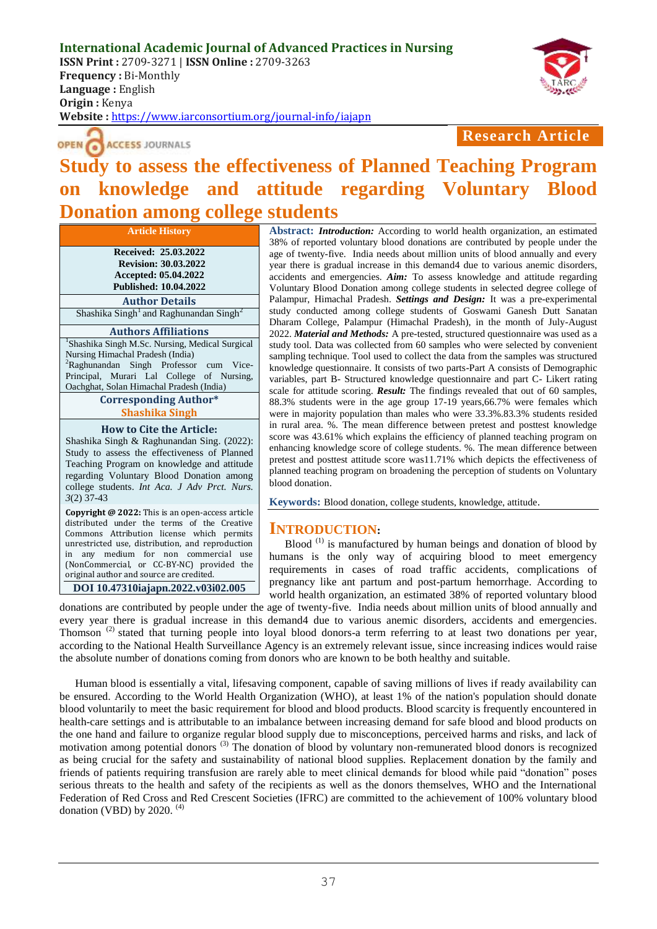

OPEN CACCESS JOURNALS

# **Research Article**

# **Study to assess the effectiveness of Planned Teaching Program on knowledge and attitude regarding Voluntary Blood Donation among college students**

**Article History Received: 25.03.2022 Revision: 30.03.2022 Accepted: 05.04.2022 Published: 10.04.2022**

**Author Details** Shashika Singh<sup>1</sup> and Raghunandan Singh<sup>2</sup>

#### **Authors Affiliations**

<sup>1</sup>Shashika Singh M.Sc. Nursing, Medical Surgical Nursing Himachal Pradesh (India) <sup>2</sup>Raghunandan Singh Professor cum Vice-Principal, Murari Lal College of Nursing, Oachghat, Solan Himachal Pradesh (India)

#### **Corresponding Author\* Shashika Singh**

#### **How to Cite the Article:**

Shashika Singh & Raghunandan Sing. (2022): Study to assess the effectiveness of Planned Teaching Program on knowledge and attitude regarding Voluntary Blood Donation among college students. *Int Aca. J Adv Prct. Nurs. 3*(2) 37-43

**Copyright @ 2022:** This is an open-access article distributed under the terms of the Creative Commons Attribution license which permits unrestricted use, distribution, and reproduction in any medium for non commercial use (NonCommercial, or CC-BY-NC) provided the original author and source are credited.

**DOI 10.47310iajapn.2022.v03i02.005**

**Abstract:** *Introduction:* According to world health organization, an estimated 38% of reported voluntary blood donations are contributed by people under the age of twenty-five. India needs about million units of blood annually and every year there is gradual increase in this demand4 due to various anemic disorders, accidents and emergencies. *Aim:* To assess knowledge and attitude regarding Voluntary Blood Donation among college students in selected degree college of Palampur, Himachal Pradesh. *Settings and Design:* It was a pre-experimental study conducted among college students of Goswami Ganesh Dutt Sanatan Dharam College, Palampur (Himachal Pradesh), in the month of July-August 2022. *Material and Methods:* A pre-tested, structured questionnaire was used as a study tool. Data was collected from 60 samples who were selected by convenient sampling technique. Tool used to collect the data from the samples was structured knowledge questionnaire. It consists of two parts-Part A consists of Demographic variables, part B- Structured knowledge questionnaire and part C- Likert rating scale for attitude scoring. *Result:* The findings revealed that out of 60 samples, 88.3% students were in the age group 17-19 years,66.7% were females which were in majority population than males who were 33.3%.83.3% students resided in rural area. %. The mean difference between pretest and posttest knowledge score was 43.61% which explains the efficiency of planned teaching program on enhancing knowledge score of college students. %. The mean difference between pretest and posttest attitude score was11.71% which depicts the effectiveness of planned teaching program on broadening the perception of students on Voluntary blood donation.

**Keywords:** Blood donation, college students, knowledge, attitude.

### **INTRODUCTION:**

Blood<sup>(1)</sup> is manufactured by human beings and donation of blood by humans is the only way of acquiring blood to meet emergency requirements in cases of road traffic accidents, complications of pregnancy like ant partum and post-partum hemorrhage. According to world health organization, an estimated 38% of reported voluntary blood

donations are contributed by people under the age of twenty-five. India needs about million units of blood annually and every year there is gradual increase in this demand4 due to various anemic disorders, accidents and emergencies. Thomson<sup>(2)</sup> stated that turning people into loyal blood donors-a term referring to at least two donations per year, according to the National Health Surveillance Agency is an extremely relevant issue, since increasing indices would raise the absolute number of donations coming from donors who are known to be both healthy and suitable.

Human blood is essentially a vital, lifesaving component, capable of saving millions of lives if ready availability can be ensured. According to the World Health Organization (WHO), at least 1% of the nation's population should donate blood voluntarily to meet the basic requirement for blood and blood products. Blood scarcity is frequently encountered in health-care settings and is attributable to an imbalance between increasing demand for safe blood and blood products on the one hand and failure to organize regular blood supply due to misconceptions, perceived harms and risks, and lack of motivation among potential donors (3) The donation of blood by voluntary non-remunerated blood donors is recognized as being crucial for the safety and sustainability of national blood supplies. Replacement donation by the family and friends of patients requiring transfusion are rarely able to meet clinical demands for blood while paid "donation" poses serious threats to the health and safety of the recipients as well as the donors themselves, WHO and the International Federation of Red Cross and Red Crescent Societies (IFRC) are committed to the achievement of 100% voluntary blood donation (VBD) by 2020.  $(4)$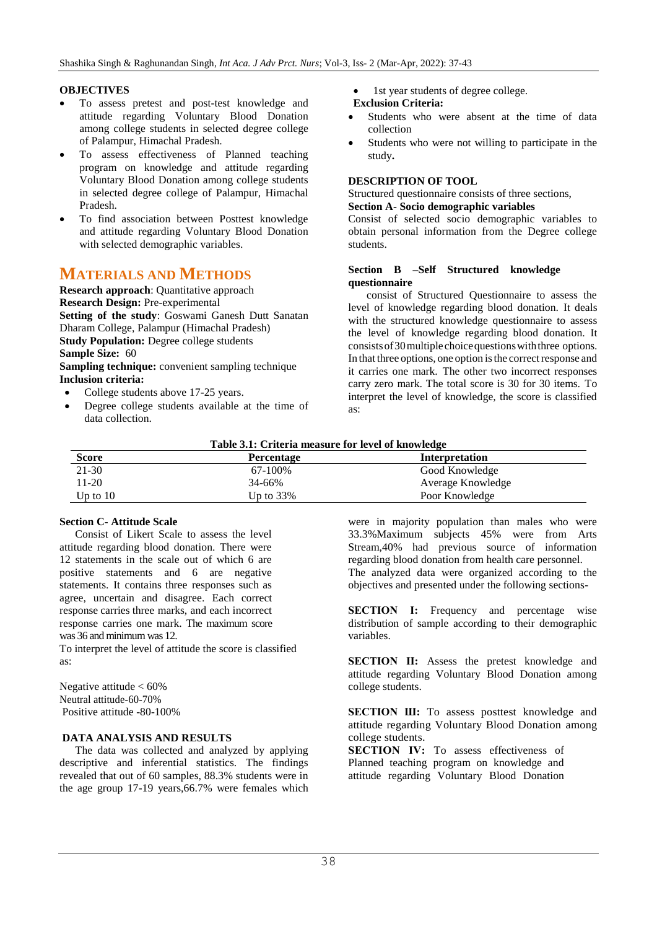### **OBJECTIVES**

- To assess pretest and post-test knowledge and attitude regarding Voluntary Blood Donation among college students in selected degree college of Palampur, Himachal Pradesh.
- To assess effectiveness of Planned teaching program on knowledge and attitude regarding Voluntary Blood Donation among college students in selected degree college of Palampur, Himachal Pradesh.
- To find association between Posttest knowledge and attitude regarding Voluntary Blood Donation with selected demographic variables.

# **MATERIALS AND METHODS**

**Research approach**: Quantitative approach **Research Design:** Pre-experimental **Setting of the study**: Goswami Ganesh Dutt Sanatan Dharam College, Palampur (Himachal Pradesh) **Study Population:** Degree college students **Sample Size:** 60 **Sampling technique:** convenient sampling technique **Inclusion criteria:** 

- College students above 17-25 years.
- Degree college students available at the time of data collection.

1st year students of degree college.

### **Exclusion Criteria:**

- Students who were absent at the time of data collection
- Students who were not willing to participate in the study**.**

### **DESCRIPTION OF TOOL**

#### Structured questionnaire consists of three sections, **Section A- Socio demographic variables**

Consist of selected socio demographic variables to obtain personal information from the Degree college students.

### **Section B –Self Structured knowledge questionnaire**

consist of Structured Questionnaire to assess the level of knowledge regarding blood donation. It deals with the structured knowledge questionnaire to assess the level of knowledge regarding blood donation. It consists of 30 multiple choice questions with three options. In that three options, one option is the correct response and it carries one mark. The other two incorrect responses carry zero mark. The total score is 30 for 30 items. To interpret the level of knowledge, the score is classified as:

| <b>Table 3.1:</b> Criteria measure for level of knowledge |                   |                   |  |  |
|-----------------------------------------------------------|-------------------|-------------------|--|--|
| <b>Score</b>                                              | <b>Percentage</b> | Interpretation    |  |  |
| 21-30                                                     | 67-100%           | Good Knowledge    |  |  |
| 11-20                                                     | 34-66%            | Average Knowledge |  |  |
| Up to $10$                                                | Up to $33\%$      | Poor Knowledge    |  |  |

### **Table 3.1: Criteria measure for level of knowledge**

### **Section C- Attitude Scale**

Consist of Likert Scale to assess the level attitude regarding blood donation. There were 12 statements in the scale out of which 6 are positive statements and 6 are negative statements. It contains three responses such as agree, uncertain and disagree. Each correct response carries three marks, and each incorrect response carries one mark. The maximum score was 36 and minimum was 12.

To interpret the level of attitude the score is classified as:

Negative attitude  $< 60\%$ Neutral attitude-60-70% Positive attitude -80-100%

### **DATA ANALYSIS AND RESULTS**

The data was collected and analyzed by applying descriptive and inferential statistics. The findings revealed that out of 60 samples, 88.3% students were in the age group 17-19 years,66.7% were females which were in majority population than males who were 33.3%Maximum subjects 45% were from Arts Stream,40% had previous source of information regarding blood donation from health care personnel. The analyzed data were organized according to the objectives and presented under the following sections-

**SECTION I:** Frequency and percentage wise distribution of sample according to their demographic variables.

**SECTION II:** Assess the pretest knowledge and attitude regarding Voluntary Blood Donation among college students.

**SECTION III:** To assess posttest knowledge and attitude regarding Voluntary Blood Donation among college students.

**SECTION IV:** To assess effectiveness of Planned teaching program on knowledge and attitude regarding Voluntary Blood Donation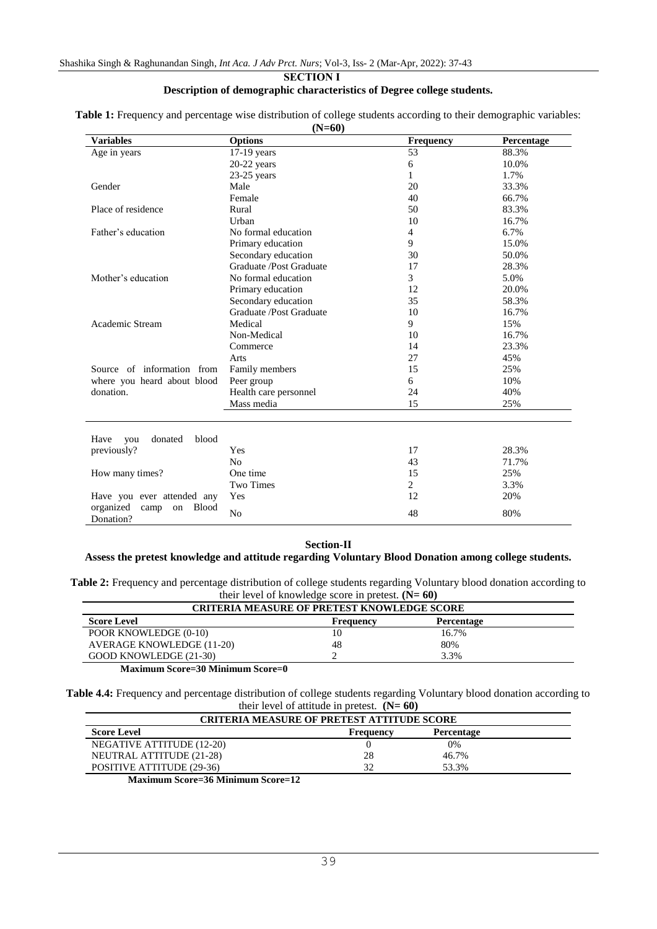#### **SECTION I Description of demographic characteristics of Degree college students.**

|                                                      | $(1$ $\gamma$ = $0$ $\upsilon$ ) |                  |                   |
|------------------------------------------------------|----------------------------------|------------------|-------------------|
| <b>Variables</b>                                     | <b>Options</b>                   | <b>Frequency</b> | <b>Percentage</b> |
| Age in years                                         | $17-19$ years                    | 53               | 88.3%             |
|                                                      | 20-22 years                      | 6                | 10.0%             |
|                                                      | $23-25$ years                    | 1                | 1.7%              |
| Gender                                               | Male                             | 20               | 33.3%             |
|                                                      | Female                           | 40               | 66.7%             |
| Place of residence                                   | Rural                            | 50               | 83.3%             |
|                                                      | Urban                            | 10               | 16.7%             |
| Father's education                                   | No formal education              | $\overline{4}$   | 6.7%              |
|                                                      | Primary education                | 9                | 15.0%             |
|                                                      | Secondary education              | 30               | 50.0%             |
|                                                      | Graduate /Post Graduate          | 17               | 28.3%             |
| Mother's education                                   | No formal education              | 3                | 5.0%              |
|                                                      | Primary education                | 12               | 20.0%             |
|                                                      | Secondary education              | 35               | 58.3%             |
|                                                      | Graduate /Post Graduate          | 10               | 16.7%             |
| Academic Stream                                      | Medical                          | 9                | 15%               |
|                                                      | Non-Medical                      | 10               | 16.7%             |
|                                                      | Commerce                         | 14               | 23.3%             |
|                                                      | Arts                             | 27               | 45%               |
| Source of information from                           | Family members                   | 15               | 25%               |
| where you heard about blood                          | Peer group                       | 6                | 10%               |
| donation.                                            | Health care personnel            | 24               | 40%               |
|                                                      | Mass media                       | 15               | 25%               |
| blood<br>Have<br>donated<br>you                      |                                  |                  |                   |
| previously?                                          | Yes                              | 17               | 28.3%             |
|                                                      | N <sub>0</sub>                   | 43               | 71.7%             |
| How many times?                                      | One time                         | 15               | 25%               |
|                                                      | Two Times                        | $\overline{2}$   | 3.3%              |
|                                                      | Yes                              | 12               | 20%               |
| Have you ever attended any                           |                                  |                  |                   |
| organized<br><b>Blood</b><br>camp<br>on<br>Donation? | N <sub>0</sub>                   | 48               | 80%               |

**Table 1:** Frequency and percentage wise distribution of college students according to their demographic variables:  $(1 - \epsilon_0)$ 

### **Section-Ⅱ**

### **Assess the pretest knowledge and attitude regarding Voluntary Blood Donation among college students.**

**Table 2:** Frequency and percentage distribution of college students regarding Voluntary blood donation according to their level of knowledge score in pretest. **(N= 60)** 

| <b>CRITERIA MEASURE OF PRETEST KNOWLEDGE SCORE</b>       |           |                   |  |  |  |  |
|----------------------------------------------------------|-----------|-------------------|--|--|--|--|
| <b>Score Level</b>                                       | Frequency | <b>Percentage</b> |  |  |  |  |
| POOR KNOWLEDGE (0-10)                                    | 10        | 16.7%             |  |  |  |  |
| <b>AVERAGE KNOWLEDGE (11-20)</b>                         | 48        | 80%               |  |  |  |  |
| GOOD KNOWLEDGE (21-30)                                   |           | 3.3%              |  |  |  |  |
| $\sim$<br>$\sim$<br>$\sim$ $\sim$ $\sim$ $\sim$<br>$  -$ | $\sim$    |                   |  |  |  |  |

**Maximum Score=30 Minimum Score=0**

**Table 4.4:** Frequency and percentage distribution of college students regarding Voluntary blood donation according to their level of attitude in pretest. **(N= 60)**

| <b>CRITERIA MEASURE OF PRETEST ATTITUDE SCORE</b> |           |                   |  |  |  |  |
|---------------------------------------------------|-----------|-------------------|--|--|--|--|
| <b>Score Level</b>                                | Frequency | <b>Percentage</b> |  |  |  |  |
| NEGATIVE ATTITUDE (12-20)                         |           | $0\%$             |  |  |  |  |
| NEUTRAL ATTITUDE (21-28)                          | 28        | 46.7%             |  |  |  |  |
| POSITIVE ATTITUDE (29-36)                         | 20        | 53.3%             |  |  |  |  |
|                                                   |           |                   |  |  |  |  |

**Maximum Score=36 Minimum Score=12**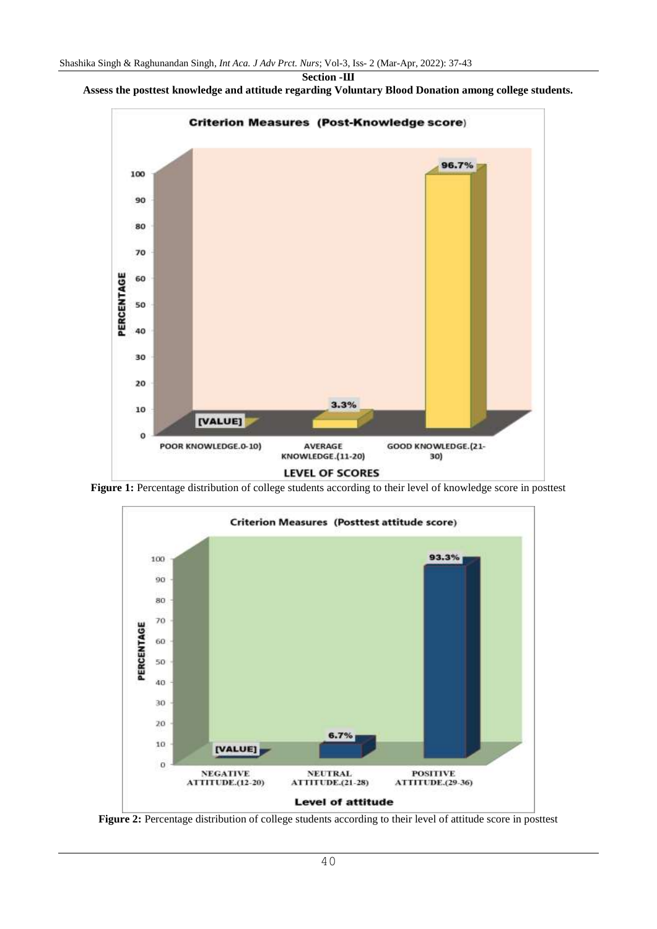



Figure 1: Percentage distribution of college students according to their level of knowledge score in posttest



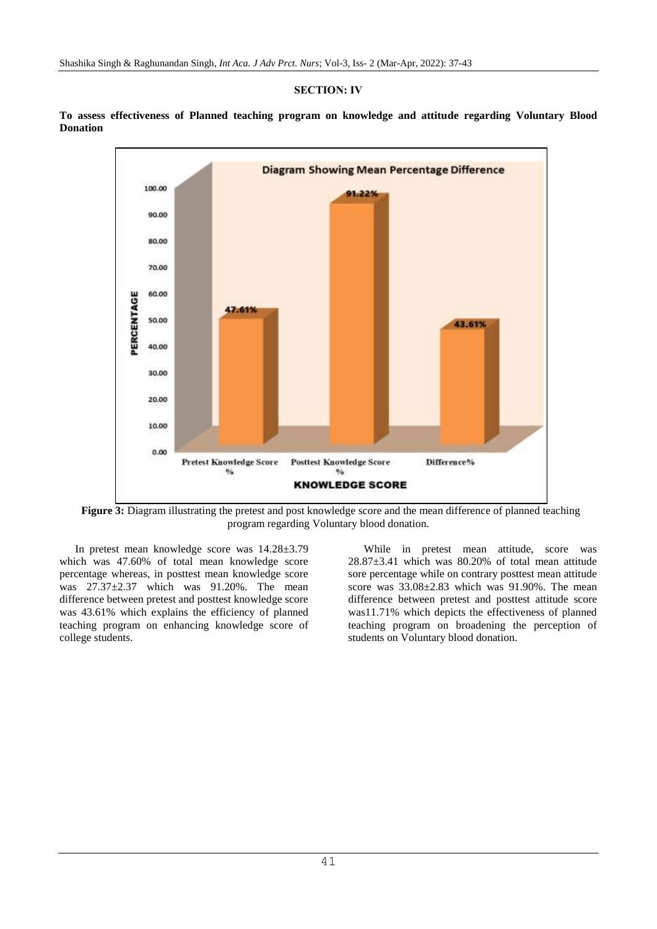### **SECTION: Ⅳ**

**To assess effectiveness of Planned teaching program on knowledge and attitude regarding Voluntary Blood Donation**



**Figure 3:** Diagram illustrating the pretest and post knowledge score and the mean difference of planned teaching program regarding Voluntary blood donation.

In pretest mean knowledge score was 14.28±3.79 which was 47.60% of total mean knowledge score percentage whereas, in posttest mean knowledge score was 27.37±2.37 which was 91.20%. The mean difference between pretest and posttest knowledge score was 43.61% which explains the efficiency of planned teaching program on enhancing knowledge score of college students.

While in pretest mean attitude, score was 28.87±3.41 which was 80.20% of total mean attitude sore percentage while on contrary posttest mean attitude score was  $33.08 \pm 2.83$  which was  $91.90\%$ . The mean difference between pretest and posttest attitude score was11.71% which depicts the effectiveness of planned teaching program on broadening the perception of students on Voluntary blood donation.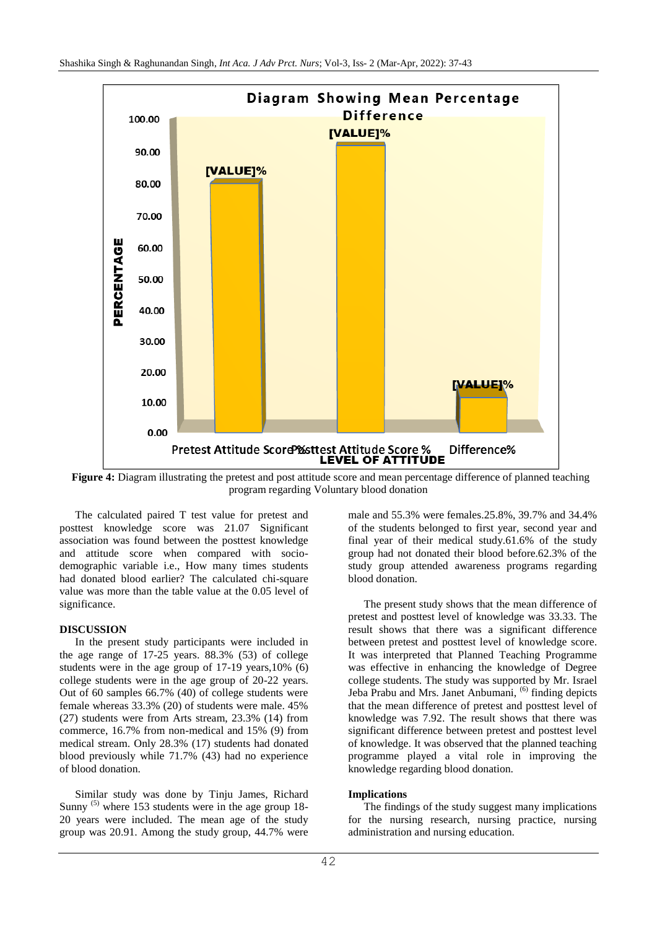

**Figure 4:** Diagram illustrating the pretest and post attitude score and mean percentage difference of planned teaching program regarding Voluntary blood donation

The calculated paired T test value for pretest and posttest knowledge score was 21.07 Significant association was found between the posttest knowledge and attitude score when compared with sociodemographic variable i.e., How many times students had donated blood earlier? The calculated chi-square value was more than the table value at the 0.05 level of significance.

### **DISCUSSION**

In the present study participants were included in the age range of 17-25 years. 88.3% (53) of college students were in the age group of 17-19 years,10% (6) college students were in the age group of 20-22 years. Out of 60 samples 66.7% (40) of college students were female whereas 33.3% (20) of students were male. 45% (27) students were from Arts stream, 23.3% (14) from commerce, 16.7% from non-medical and 15% (9) from medical stream. Only 28.3% (17) students had donated blood previously while 71.7% (43) had no experience of blood donation.

Similar study was done by Tinju James, Richard Sunny  $^{(5)}$  where 153 students were in the age group 18-20 years were included. The mean age of the study group was 20.91. Among the study group, 44.7% were

male and 55.3% were females.25.8%, 39.7% and 34.4% of the students belonged to first year, second year and final year of their medical study.61.6% of the study group had not donated their blood before.62.3% of the study group attended awareness programs regarding blood donation.

The present study shows that the mean difference of pretest and posttest level of knowledge was 33.33. The result shows that there was a significant difference between pretest and posttest level of knowledge score. It was interpreted that Planned Teaching Programme was effective in enhancing the knowledge of Degree college students. The study was supported by Mr. Israel Jeba Prabu and Mrs. Janet Anbumani, <sup>(6)</sup> finding depicts that the mean difference of pretest and posttest level of knowledge was 7.92. The result shows that there was significant difference between pretest and posttest level of knowledge. It was observed that the planned teaching programme played a vital role in improving the knowledge regarding blood donation.

### **Implications**

The findings of the study suggest many implications for the nursing research, nursing practice, nursing administration and nursing education.